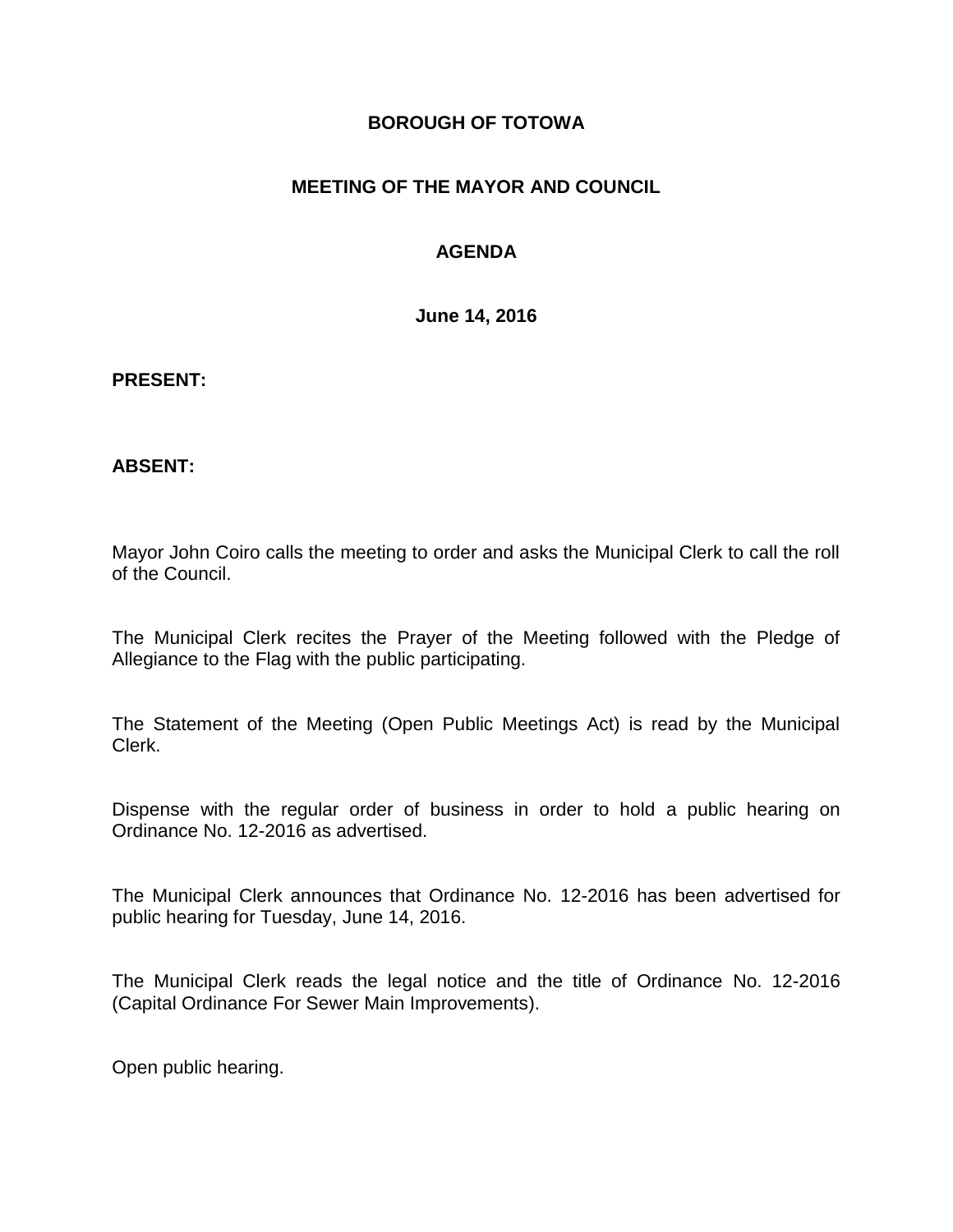### **BOROUGH OF TOTOWA**

## **MEETING OF THE MAYOR AND COUNCIL**

## **AGENDA**

**June 14, 2016**

#### **PRESENT:**

### **ABSENT:**

Mayor John Coiro calls the meeting to order and asks the Municipal Clerk to call the roll of the Council.

The Municipal Clerk recites the Prayer of the Meeting followed with the Pledge of Allegiance to the Flag with the public participating.

The Statement of the Meeting (Open Public Meetings Act) is read by the Municipal Clerk.

Dispense with the regular order of business in order to hold a public hearing on Ordinance No. 12-2016 as advertised.

The Municipal Clerk announces that Ordinance No. 12-2016 has been advertised for public hearing for Tuesday, June 14, 2016.

The Municipal Clerk reads the legal notice and the title of Ordinance No. 12-2016 (Capital Ordinance For Sewer Main Improvements).

Open public hearing.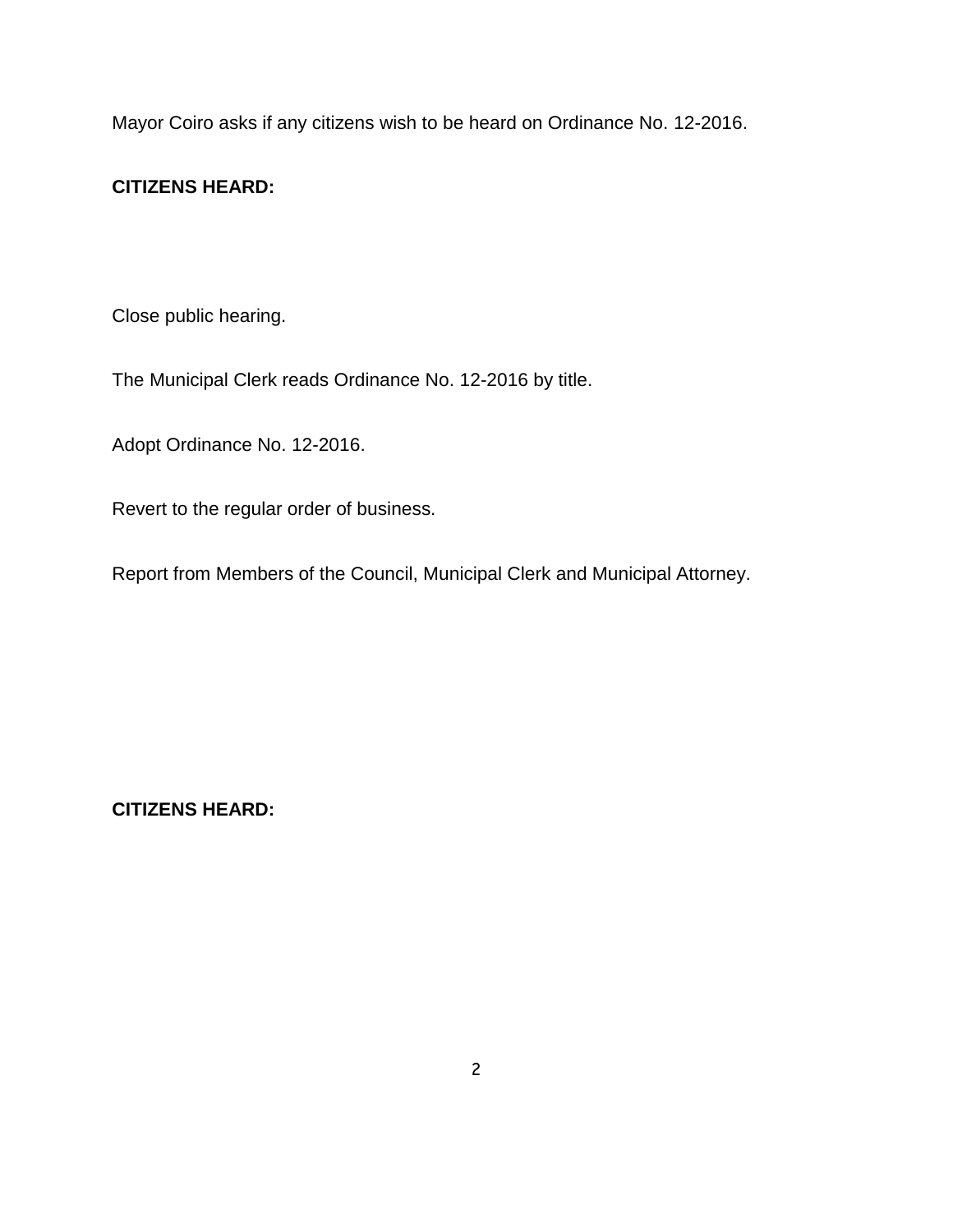Mayor Coiro asks if any citizens wish to be heard on Ordinance No. 12-2016.

## **CITIZENS HEARD:**

Close public hearing.

The Municipal Clerk reads Ordinance No. 12-2016 by title.

Adopt Ordinance No. 12-2016.

Revert to the regular order of business.

Report from Members of the Council, Municipal Clerk and Municipal Attorney.

**CITIZENS HEARD:**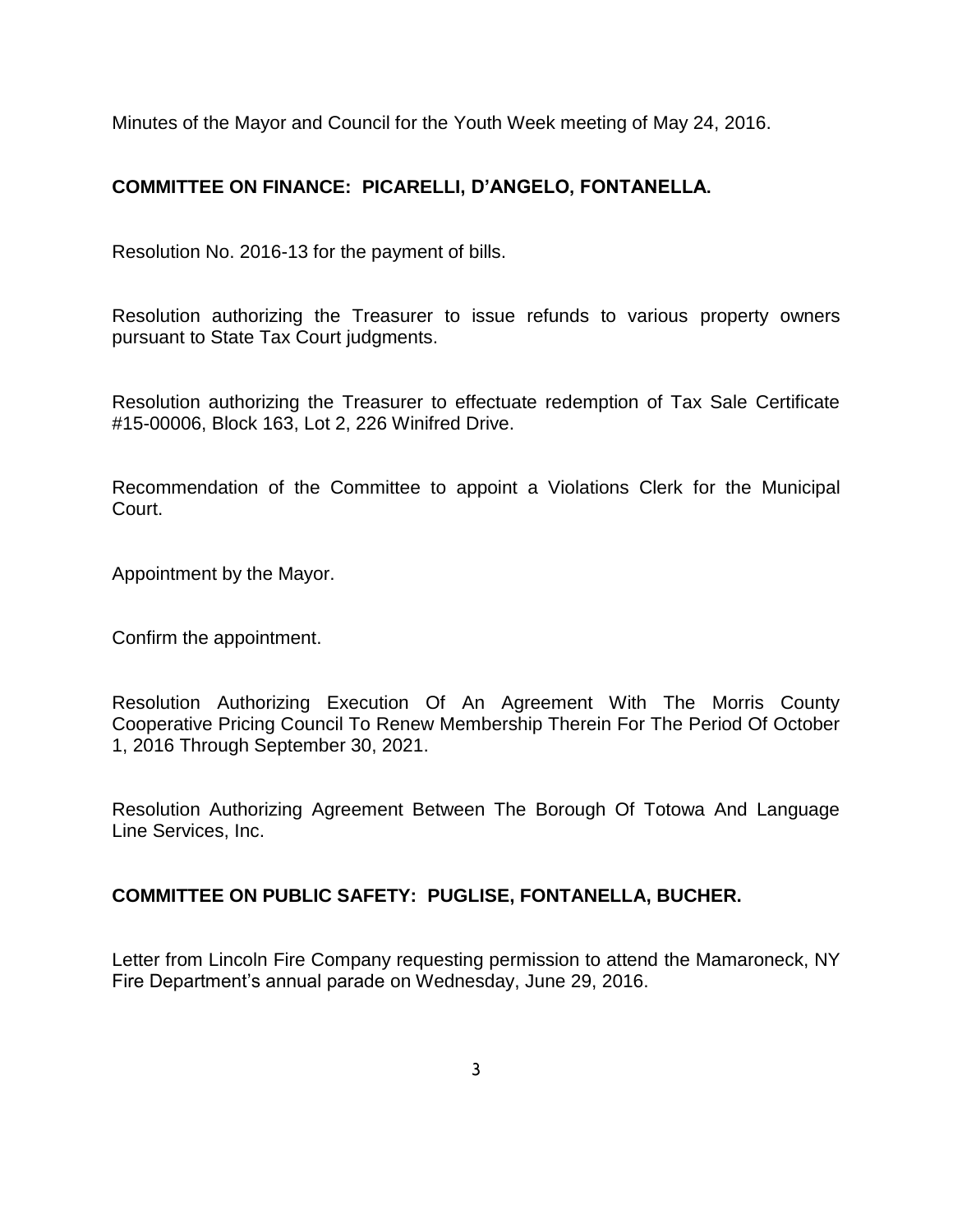Minutes of the Mayor and Council for the Youth Week meeting of May 24, 2016.

# **COMMITTEE ON FINANCE: PICARELLI, D'ANGELO, FONTANELLA.**

Resolution No. 2016-13 for the payment of bills.

Resolution authorizing the Treasurer to issue refunds to various property owners pursuant to State Tax Court judgments.

Resolution authorizing the Treasurer to effectuate redemption of Tax Sale Certificate #15-00006, Block 163, Lot 2, 226 Winifred Drive.

Recommendation of the Committee to appoint a Violations Clerk for the Municipal Court.

Appointment by the Mayor.

Confirm the appointment.

Resolution Authorizing Execution Of An Agreement With The Morris County Cooperative Pricing Council To Renew Membership Therein For The Period Of October 1, 2016 Through September 30, 2021.

Resolution Authorizing Agreement Between The Borough Of Totowa And Language Line Services, Inc.

### **COMMITTEE ON PUBLIC SAFETY: PUGLISE, FONTANELLA, BUCHER.**

Letter from Lincoln Fire Company requesting permission to attend the Mamaroneck, NY Fire Department's annual parade on Wednesday, June 29, 2016.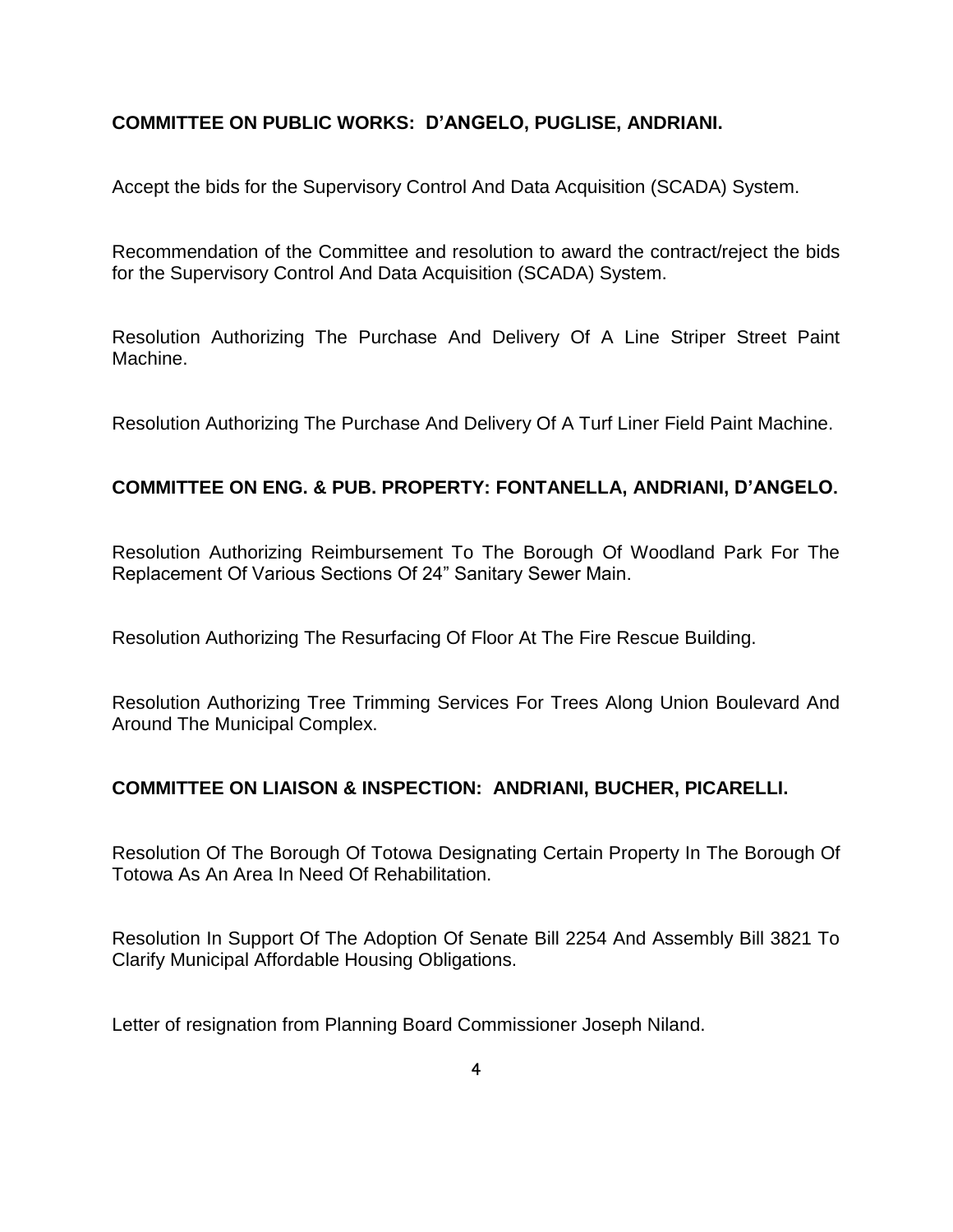## **COMMITTEE ON PUBLIC WORKS: D'ANGELO, PUGLISE, ANDRIANI.**

Accept the bids for the Supervisory Control And Data Acquisition (SCADA) System.

Recommendation of the Committee and resolution to award the contract/reject the bids for the Supervisory Control And Data Acquisition (SCADA) System.

Resolution Authorizing The Purchase And Delivery Of A Line Striper Street Paint Machine.

Resolution Authorizing The Purchase And Delivery Of A Turf Liner Field Paint Machine.

## **COMMITTEE ON ENG. & PUB. PROPERTY: FONTANELLA, ANDRIANI, D'ANGELO.**

Resolution Authorizing Reimbursement To The Borough Of Woodland Park For The Replacement Of Various Sections Of 24" Sanitary Sewer Main.

Resolution Authorizing The Resurfacing Of Floor At The Fire Rescue Building.

Resolution Authorizing Tree Trimming Services For Trees Along Union Boulevard And Around The Municipal Complex.

## **COMMITTEE ON LIAISON & INSPECTION: ANDRIANI, BUCHER, PICARELLI.**

Resolution Of The Borough Of Totowa Designating Certain Property In The Borough Of Totowa As An Area In Need Of Rehabilitation.

Resolution In Support Of The Adoption Of Senate Bill 2254 And Assembly Bill 3821 To Clarify Municipal Affordable Housing Obligations.

Letter of resignation from Planning Board Commissioner Joseph Niland.